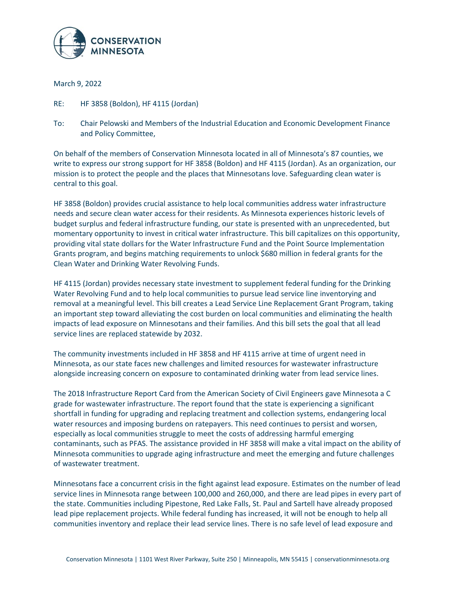

March 9, 2022

- RE: HF 3858 (Boldon), HF 4115 (Jordan)
- To: Chair Pelowski and Members of the Industrial Education and Economic Development Finance and Policy Committee,

On behalf of the members of Conservation Minnesota located in all of Minnesota's 87 counties, we write to express our strong support for HF 3858 (Boldon) and HF 4115 (Jordan). As an organization, our mission is to protect the people and the places that Minnesotans love. Safeguarding clean water is central to this goal.

HF 3858 (Boldon) provides crucial assistance to help local communities address water infrastructure needs and secure clean water access for their residents. As Minnesota experiences historic levels of budget surplus and federal infrastructure funding, our state is presented with an unprecedented, but momentary opportunity to invest in critical water infrastructure. This bill capitalizes on this opportunity, providing vital state dollars for the Water Infrastructure Fund and the Point Source Implementation Grants program, and begins matching requirements to unlock \$680 million in federal grants for the Clean Water and Drinking Water Revolving Funds.

HF 4115 (Jordan) provides necessary state investment to supplement federal funding for the Drinking Water Revolving Fund and to help local communities to pursue lead service line inventorying and removal at a meaningful level. This bill creates a Lead Service Line Replacement Grant Program, taking an important step toward alleviating the cost burden on local communities and eliminating the health impacts of lead exposure on Minnesotans and their families. And this bill sets the goal that all lead service lines are replaced statewide by 2032.

The community investments included in HF 3858 and HF 4115 arrive at time of urgent need in Minnesota, as our state faces new challenges and limited resources for wastewater infrastructure alongside increasing concern on exposure to contaminated drinking water from lead service lines.

The 2018 Infrastructure Report Card from the American Society of Civil Engineers gave Minnesota a C grade for wastewater infrastructure. The report found that the state is experiencing a significant shortfall in funding for upgrading and replacing treatment and collection systems, endangering local water resources and imposing burdens on ratepayers. This need continues to persist and worsen, especially as local communities struggle to meet the costs of addressing harmful emerging contaminants, such as PFAS. The assistance provided in HF 3858 will make a vital impact on the ability of Minnesota communities to upgrade aging infrastructure and meet the emerging and future challenges of wastewater treatment.

Minnesotans face a concurrent crisis in the fight against lead exposure. Estimates on the number of lead service lines in Minnesota range between 100,000 and 260,000, and there are lead pipes in every part of the state. Communities including Pipestone, Red Lake Falls, St. Paul and Sartell have already proposed lead pipe replacement projects. While federal funding has increased, it will not be enough to help all communities inventory and replace their lead service lines. There is no safe level of lead exposure and